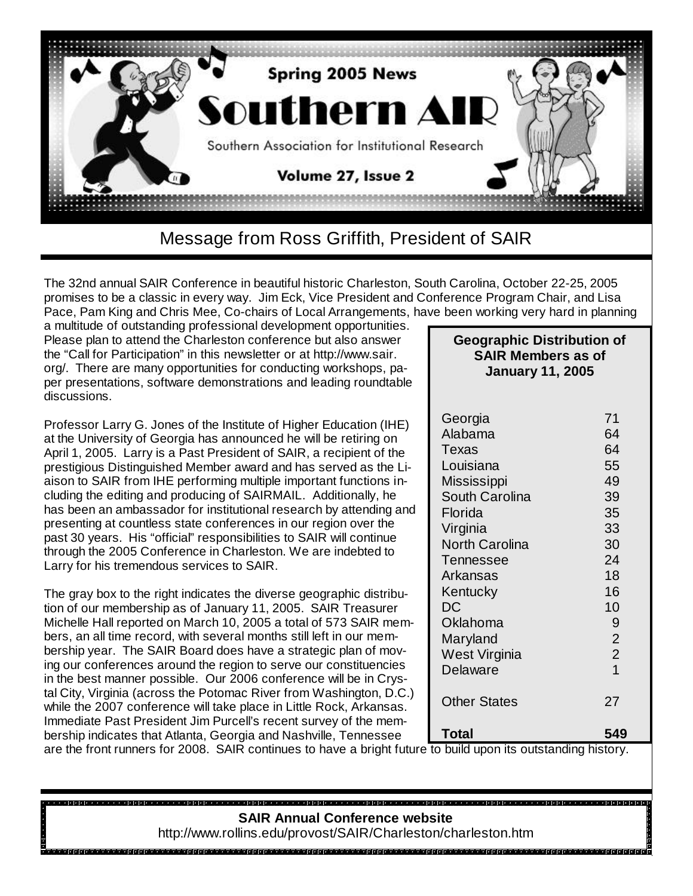

The 32nd annual SAIR Conference in beautiful historic Charleston, South Carolina, October 22-25, 2005 promises to be a classic in every way. Jim Eck, Vice President and Conference Program Chair, and Lisa Pace, Pam King and Chris Mee, Co-chairs of Local Arrangements, have been working very hard in planning

a multitude of outstanding professional development opportunities. Please plan to attend the Charleston conference but also answer the "Call for Participation" in this newsletter or at http://www.sair. org/. There are many opportunities for conducting workshops, paper presentations, software demonstrations and leading roundtable discussions.

Professor Larry G. Jones of the Institute of Higher Education (IHE) at the University of Georgia has announced he will be retiring on April 1, 2005. Larry is a Past President of SAIR, a recipient of the prestigious Distinguished Member award and has served as the Liaison to SAIR from IHE performing multiple important functions including the editing and producing of SAIRMAIL. Additionally, he has been an ambassador for institutional research by attending and presenting at countless state conferences in our region over the past 30 years. His "official" responsibilities to SAIR will continue through the 2005 Conference in Charleston. We are indebted to Larry for his tremendous services to SAIR.

The gray box to the right indicates the diverse geographic distribution of our membership as of January 11, 2005. SAIR Treasurer Michelle Hall reported on March 10, 2005 a total of 573 SAIR members, an all time record, with several months still left in our membership year. The SAIR Board does have a strategic plan of moving our conferences around the region to serve our constituencies in the best manner possible. Our 2006 conference will be in Crystal City, Virginia (across the Potomac River from Washington, D.C.) while the 2007 conference will take place in Little Rock, Arkansas. Immediate Past President Jim Purcell's recent survey of the membership indicates that Atlanta, Georgia and Nashville, Tennessee

#### **Geographic Distribution of SAIR Members as of January 11, 2005**

| Georgia               | 71             |
|-----------------------|----------------|
| Alabama               | 64             |
| Texas                 | 64             |
| Louisiana             | 55             |
| Mississippi           | 49             |
| South Carolina        | 39             |
| Florida               | 35             |
| Virginia              | 33             |
| <b>North Carolina</b> | 30             |
| Tennessee             | 24             |
| Arkansas              | 18             |
| Kentucky              | 16             |
| DC                    | 10             |
| Oklahoma              | 9              |
| Maryland              | $\overline{2}$ |
| West Virginia         | $\overline{2}$ |
| Delaware              | $\overline{1}$ |
| <b>Other States</b>   | 27             |
| Total                 | 549            |

are the front runners for 2008. SAIR continues to have a bright future to build upon its outstanding history.

#### **SAIR Annual Conference website**

http://www.rollins.edu/provost/SAIR/Charleston/charleston.htm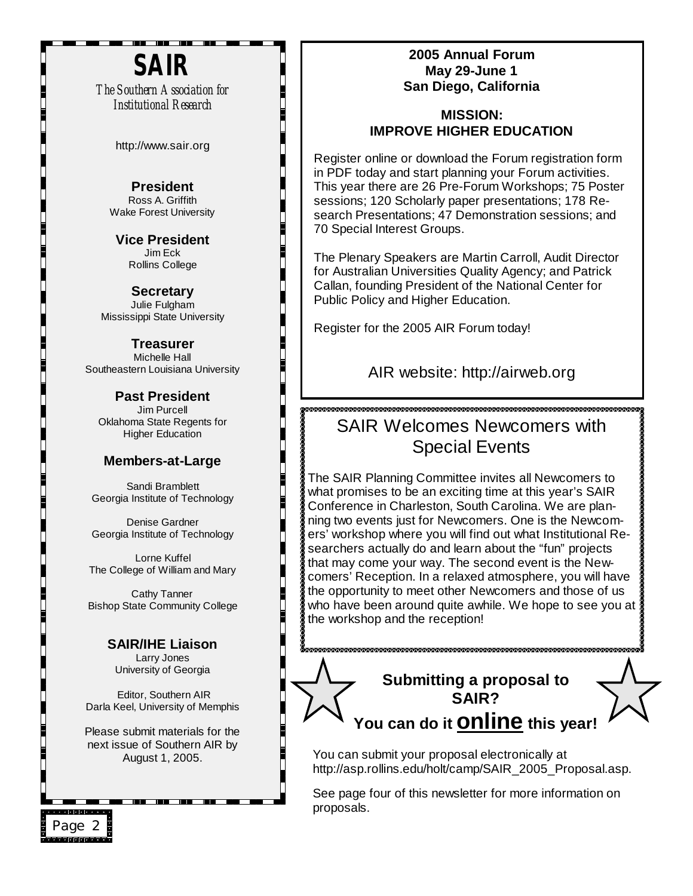# **SAIR**

- - - - -

*The Southern Association for Institutional Research*

http://www.sair.org

**President**  Ross A. Griffith Wake Forest University

**Vice President**  Jim Eck Rollins College

**Secretary** Julie Fulgham Mississippi State University

**Treasurer** Michelle Hall Southeastern Louisiana University

**Past President**  Jim Purcell Oklahoma State Regents for Higher Education

#### **Members-at-Large**

Sandi Bramblett Georgia Institute of Technology

Denise Gardner Georgia Institute of Technology

Lorne Kuffel The College of William and Mary

Cathy Tanner Bishop State Community College

> **SAIR/IHE Liaison** Larry Jones University of Georgia

Editor, Southern AIR Darla Keel, University of Memphis

Please submit materials for the next issue of Southern AIR by August 1, 2005.

#### **2005 Annual Forum May 29-June 1 San Diego, California**

#### **MISSION: IMPROVE HIGHER EDUCATION**

Register online or download the Forum registration form in PDF today and start planning your Forum activities. This year there are 26 Pre-Forum Workshops; 75 Poster sessions; 120 Scholarly paper presentations; 178 Research Presentations; 47 Demonstration sessions; and 70 Special Interest Groups.

The Plenary Speakers are Martin Carroll, Audit Director for Australian Universities Quality Agency; and Patrick Callan, founding President of the National Center for Public Policy and Higher Education.

Register for the 2005 AIR Forum today!

AIR website: http://airweb.org

## SAIR Welcomes Newcomers with Special Events

The SAIR Planning Committee invites all Newcomers to what promises to be an exciting time at this year's SAIR Conference in Charleston, South Carolina. We are planning two events just for Newcomers. One is the Newcomers' workshop where you will find out what Institutional Researchers actually do and learn about the "fun" projects that may come your way. The second event is the Newcomers' Reception. In a relaxed atmosphere, you will have the opportunity to meet other Newcomers and those of us who have been around quite awhile. We hope to see you at the workshop and the reception!

## **Submitting a proposal to SAIR? You can do it online this year!**

You can submit your proposal electronically at http://asp.rollins.edu/holt/camp/SAIR\_2005\_Proposal.asp.

See page four of this newsletter for more information on proposals.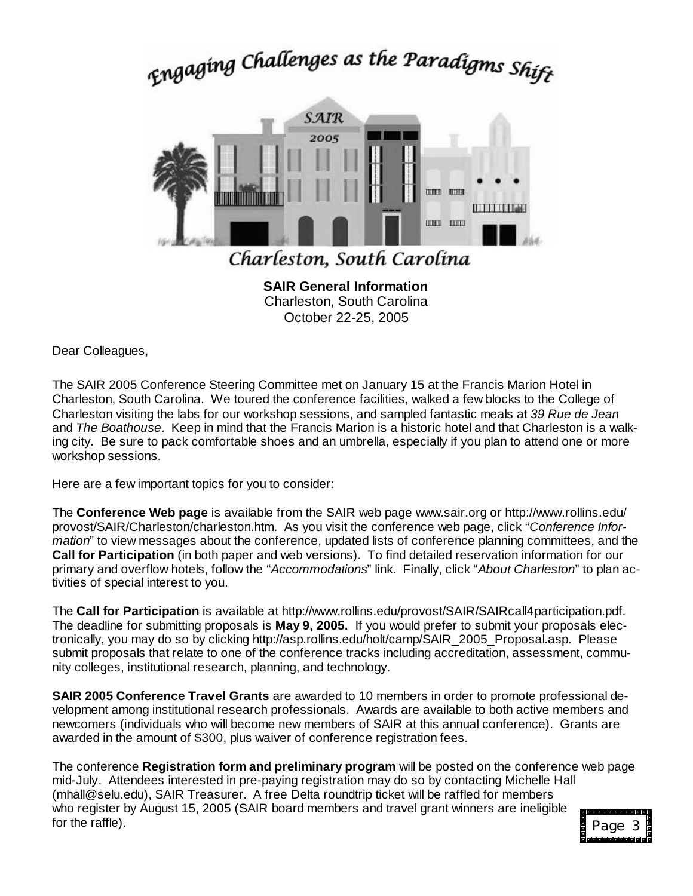# Engaging Challenges as the Paradigms Shift



Charleston, South Carolina October 22-25, 2005

Dear Colleagues,

The SAIR 2005 Conference Steering Committee met on January 15 at the Francis Marion Hotel in Charleston, South Carolina. We toured the conference facilities, walked a few blocks to the College of Charleston visiting the labs for our workshop sessions, and sampled fantastic meals at *39 Rue de Jean* and *The Boathouse*. Keep in mind that the Francis Marion is a historic hotel and that Charleston is a walking city. Be sure to pack comfortable shoes and an umbrella, especially if you plan to attend one or more workshop sessions.

Here are a few important topics for you to consider:

The **Conference Web page** is available from the SAIR web page www.sair.org or http://www.rollins.edu/ provost/SAIR/Charleston/charleston.htm. As you visit the conference web page, click "*Conference Information*" to view messages about the conference, updated lists of conference planning committees, and the **Call for Participation** (in both paper and web versions). To find detailed reservation information for our primary and overflow hotels, follow the "*Accommodations*" link. Finally, click "*About Charleston*" to plan activities of special interest to you.

The **Call for Participation** is available at http://www.rollins.edu/provost/SAIR/SAIRcall4participation.pdf. The deadline for submitting proposals is **May 9, 2005.** If you would prefer to submit your proposals electronically, you may do so by clicking http://asp.rollins.edu/holt/camp/SAIR\_2005\_Proposal.asp. Please submit proposals that relate to one of the conference tracks including accreditation, assessment, community colleges, institutional research, planning, and technology.

**SAIR 2005 Conference Travel Grants** are awarded to 10 members in order to promote professional development among institutional research professionals. Awards are available to both active members and newcomers (individuals who will become new members of SAIR at this annual conference). Grants are awarded in the amount of \$300, plus waiver of conference registration fees.

The conference **Registration form and preliminary program** will be posted on the conference web page mid-July. Attendees interested in pre-paying registration may do so by contacting Michelle Hall (mhall@selu.edu), SAIR Treasurer. A free Delta roundtrip ticket will be raffled for members who register by August 15, 2005 (SAIR board members and travel grant winners are ineligible for the raffle). **Page 3** Page 3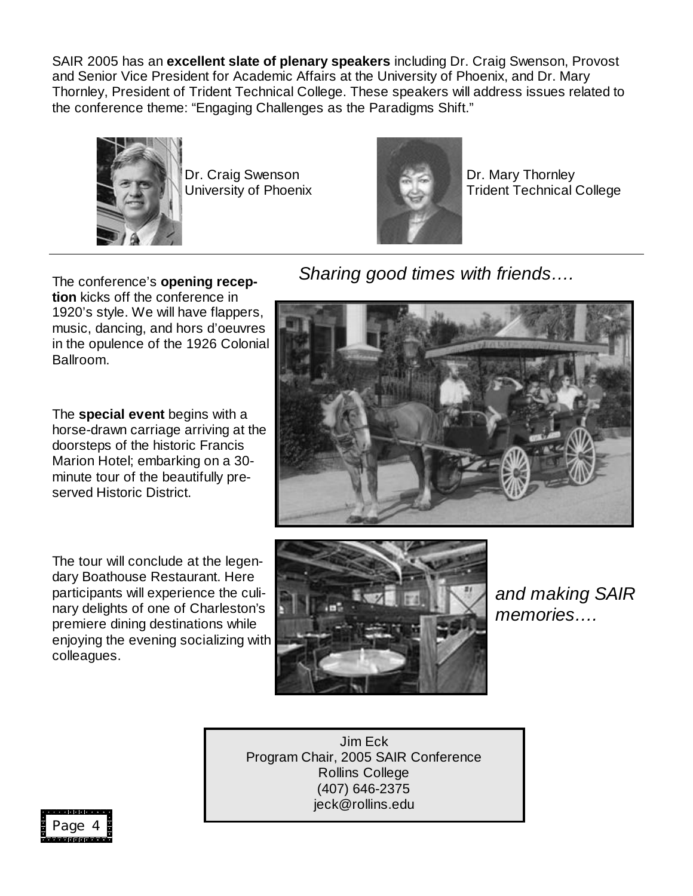SAIR 2005 has an **excellent slate of plenary speakers** including Dr. Craig Swenson, Provost and Senior Vice President for Academic Affairs at the University of Phoenix, and Dr. Mary Thornley, President of Trident Technical College. These speakers will address issues related to the conference theme: "Engaging Challenges as the Paradigms Shift."



Dr. Craig Swenson University of Phoenix



Dr. Mary Thornley Trident Technical College

The conference's **opening reception** kicks off the conference in 1920's style. We will have flappers, music, dancing, and hors d'oeuvres in the opulence of the 1926 Colonial Ballroom.

The **special event** begins with a horse-drawn carriage arriving at the doorsteps of the historic Francis Marion Hotel; embarking on a 30 minute tour of the beautifully preserved Historic District.

The tour will conclude at the legendary Boathouse Restaurant. Here participants will experience the culinary delights of one of Charleston's premiere dining destinations while enjoying the evening socializing with colleagues.



*Sharing good times with friends… .*



*and making SAIR memories… .*

Jim Eck Program Chair, 2005 SAIR Conference Rollins College (407) 646-2375 jeck@rollins.edu

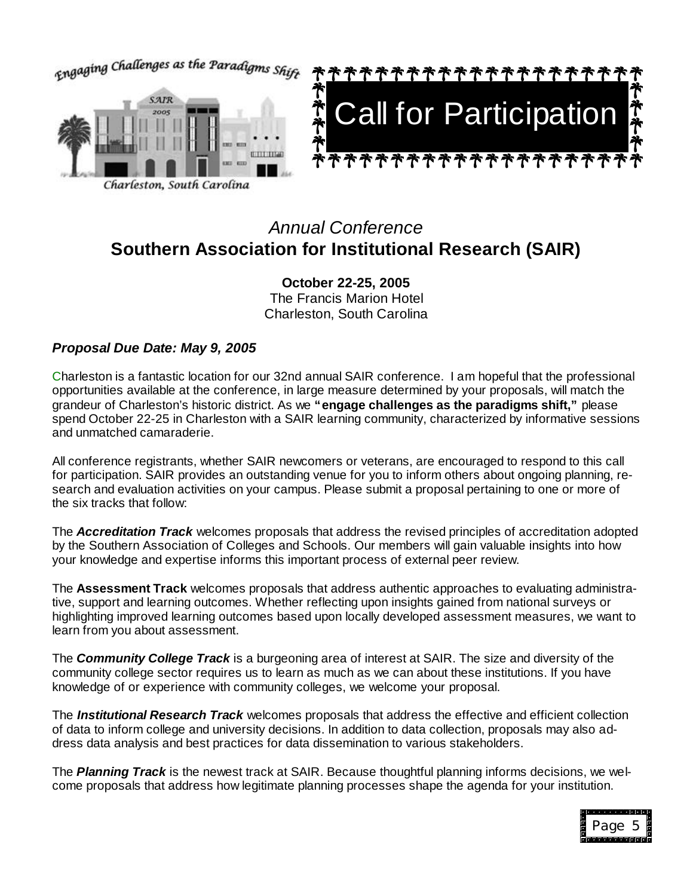

## *Annual Conference* **Southern Association for Institutional Research (SAIR)**

**October 22-25, 2005** The Francis Marion Hotel Charleston, South Carolina

#### *Proposal Due Date: May 9, 2005*

Charleston is a fantastic location for our 32nd annual SAIR conference. I am hopeful that the professional opportunities available at the conference, in large measure determined by your proposals, will match the grandeur of Charleston's historic district. As we **"engage challenges as the paradigms shift,"** please spend October 22-25 in Charleston with a SAIR learning community, characterized by informative sessions and unmatched camaraderie.

All conference registrants, whether SAIR newcomers or veterans, are encouraged to respond to this call for participation. SAIR provides an outstanding venue for you to inform others about ongoing planning, research and evaluation activities on your campus. Please submit a proposal pertaining to one or more of the six tracks that follow:

The *Accreditation Track* welcomes proposals that address the revised principles of accreditation adopted by the Southern Association of Colleges and Schools. Our members will gain valuable insights into how your knowledge and expertise informs this important process of external peer review.

The **Assessment Track** welcomes proposals that address authentic approaches to evaluating administrative, support and learning outcomes. Whether reflecting upon insights gained from national surveys or highlighting improved learning outcomes based upon locally developed assessment measures, we want to learn from you about assessment.

The *Community College Track* is a burgeoning area of interest at SAIR. The size and diversity of the community college sector requires us to learn as much as we can about these institutions. If you have knowledge of or experience with community colleges, we welcome your proposal.

The *Institutional Research Track* welcomes proposals that address the effective and efficient collection of data to inform college and university decisions. In addition to data collection, proposals may also address data analysis and best practices for data dissemination to various stakeholders.

The *Planning Track* is the newest track at SAIR. Because thoughtful planning informs decisions, we welcome proposals that address how legitimate planning processes shape the agenda for your institution.

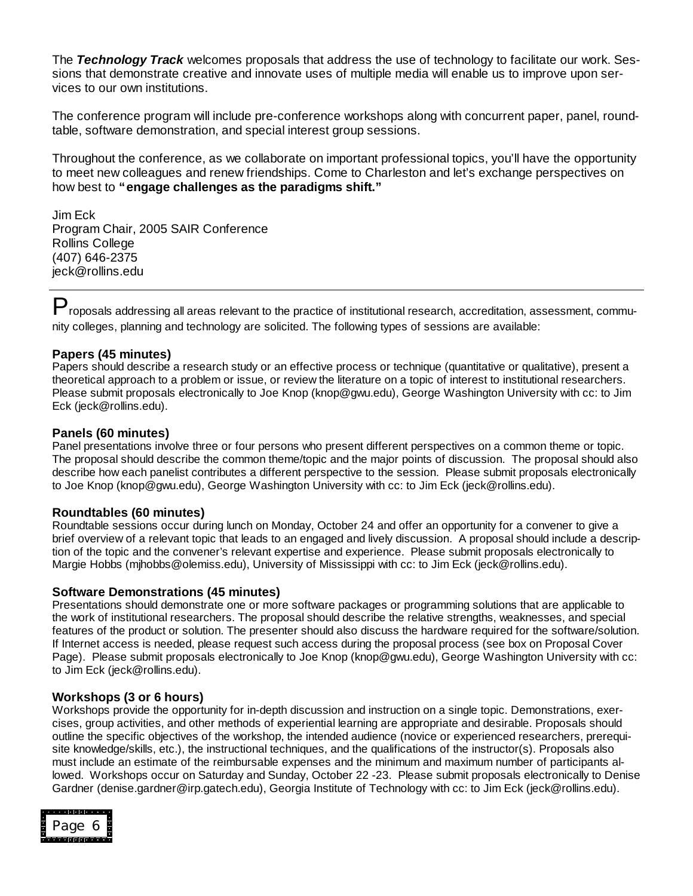The *Technology Track* welcomes proposals that address the use of technology to facilitate our work. Sessions that demonstrate creative and innovate uses of multiple media will enable us to improve upon services to our own institutions.

The conference program will include pre-conference workshops along with concurrent paper, panel, roundtable, software demonstration, and special interest group sessions.

Throughout the conference, as we collaborate on important professional topics, you'll have the opportunity to meet new colleagues and renew friendships. Come to Charleston and let's exchange perspectives on how best to **"engage challenges as the paradigms shift."**

Jim Eck Program Chair, 2005 SAIR Conference Rollins College (407) 646-2375 jeck@rollins.edu

P roposals addressing all areas relevant to the practice of institutional research, accreditation, assessment, community colleges, planning and technology are solicited. The following types of sessions are available:

#### **Papers (45 minutes)**

Papers should describe a research study or an effective process or technique (quantitative or qualitative), present a theoretical approach to a problem or issue, or review the literature on a topic of interest to institutional researchers. Please submit proposals electronically to Joe Knop (knop@gwu.edu), George Washington University with cc: to Jim Eck (jeck@rollins.edu).

#### **Panels (60 minutes)**

Panel presentations involve three or four persons who present different perspectives on a common theme or topic. The proposal should describe the common theme/topic and the major points of discussion. The proposal should also describe how each panelist contributes a different perspective to the session. Please submit proposals electronically to Joe Knop (knop@gwu.edu), George Washington University with cc: to Jim Eck (jeck@rollins.edu).

#### **Roundtables (60 minutes)**

Roundtable sessions occur during lunch on Monday, October 24 and offer an opportunity for a convener to give a brief overview of a relevant topic that leads to an engaged and lively discussion. A proposal should include a description of the topic and the convener's relevant expertise and experience. Please submit proposals electronically to Margie Hobbs (mjhobbs@olemiss.edu), University of Mississippi with cc: to Jim Eck (jeck@rollins.edu).

#### **Software Demonstrations (45 minutes)**

Presentations should demonstrate one or more software packages or programming solutions that are applicable to the work of institutional researchers. The proposal should describe the relative strengths, weaknesses, and special features of the product or solution. The presenter should also discuss the hardware required for the software/solution. If Internet access is needed, please request such access during the proposal process (see box on Proposal Cover Page). Please submit proposals electronically to Joe Knop (knop@gwu.edu), George Washington University with cc: to Jim Eck (jeck@rollins.edu).

#### **Workshops (3 or 6 hours)**

Workshops provide the opportunity for in-depth discussion and instruction on a single topic. Demonstrations, exercises, group activities, and other methods of experiential learning are appropriate and desirable. Proposals should outline the specific objectives of the workshop, the intended audience (novice or experienced researchers, prerequisite knowledge/skills, etc.), the instructional techniques, and the qualifications of the instructor(s). Proposals also must include an estimate of the reimbursable expenses and the minimum and maximum number of participants allowed. Workshops occur on Saturday and Sunday, October 22 -23. Please submit proposals electronically to Denise Gardner (denise.gardner@irp.gatech.edu), Georgia Institute of Technology with cc: to Jim Eck (jeck@rollins.edu).

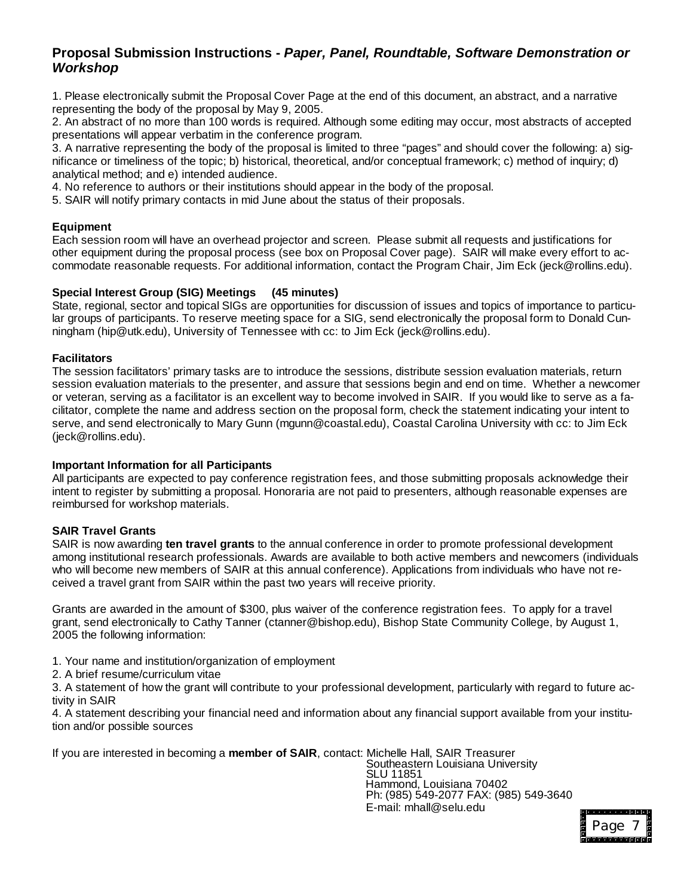#### **Proposal Submission Instructions -** *Paper, Panel, Roundtable, Software Demonstration or Workshop*

1. Please electronically submit the Proposal Cover Page at the end of this document, an abstract, and a narrative representing the body of the proposal by May 9, 2005.

2. An abstract of no more than 100 words is required. Although some editing may occur, most abstracts of accepted presentations will appear verbatim in the conference program.

3. A narrative representing the body of the proposal is limited to three "pages" and should cover the following: a) significance or timeliness of the topic; b) historical, theoretical, and/or conceptual framework; c) method of inquiry; d) analytical method; and e) intended audience.

4. No reference to authors or their institutions should appear in the body of the proposal.

5. SAIR will notify primary contacts in mid June about the status of their proposals.

#### **Equipment**

Each session room will have an overhead projector and screen. Please submit all requests and justifications for other equipment during the proposal process (see box on Proposal Cover page). SAIR will make every effort to accommodate reasonable requests. For additional information, contact the Program Chair, Jim Eck (jeck@rollins.edu).

#### **Special Interest Group (SIG) Meetings (45 minutes)**

State, regional, sector and topical SIGs are opportunities for discussion of issues and topics of importance to particular groups of participants. To reserve meeting space for a SIG, send electronically the proposal form to Donald Cunningham (hip@utk.edu), University of Tennessee with cc: to Jim Eck (jeck@rollins.edu).

#### **Facilitators**

The session facilitators' primary tasks are to introduce the sessions, distribute session evaluation materials, return session evaluation materials to the presenter, and assure that sessions begin and end on time. Whether a newcomer or veteran, serving as a facilitator is an excellent way to become involved in SAIR. If you would like to serve as a facilitator, complete the name and address section on the proposal form, check the statement indicating your intent to serve, and send electronically to Mary Gunn (mgunn@coastal.edu), Coastal Carolina University with cc: to Jim Eck (jeck@rollins.edu).

#### **Important Information for all Participants**

All participants are expected to pay conference registration fees, and those submitting proposals acknowledge their intent to register by submitting a proposal. Honoraria are not paid to presenters, although reasonable expenses are reimbursed for workshop materials.

#### **SAIR Travel Grants**

SAIR is now awarding **ten travel grants** to the annual conference in order to promote professional development among institutional research professionals. Awards are available to both active members and newcomers (individuals who will become new members of SAIR at this annual conference). Applications from individuals who have not received a travel grant from SAIR within the past two years will receive priority.

Grants are awarded in the amount of \$300, plus waiver of the conference registration fees. To apply for a travel grant, send electronically to Cathy Tanner (ctanner@bishop.edu), Bishop State Community College, by August 1, 2005 the following information:

- 1. Your name and institution/organization of employment
- 2. A brief resume/curriculum vitae

3. A statement of how the grant will contribute to your professional development, particularly with regard to future activity in SAIR

4. A statement describing your financial need and information about any financial support available from your institution and/or possible sources

If you are interested in becoming a **member of SAIR**, contact: Michelle Hall, SAIR Treasurer

 Southeastern Louisiana University SLU 11851 Hammond, Louisiana 70402 Ph: (985) 549-2077 FAX: (985) 549-3640 E-mail: mhall@selu.edu

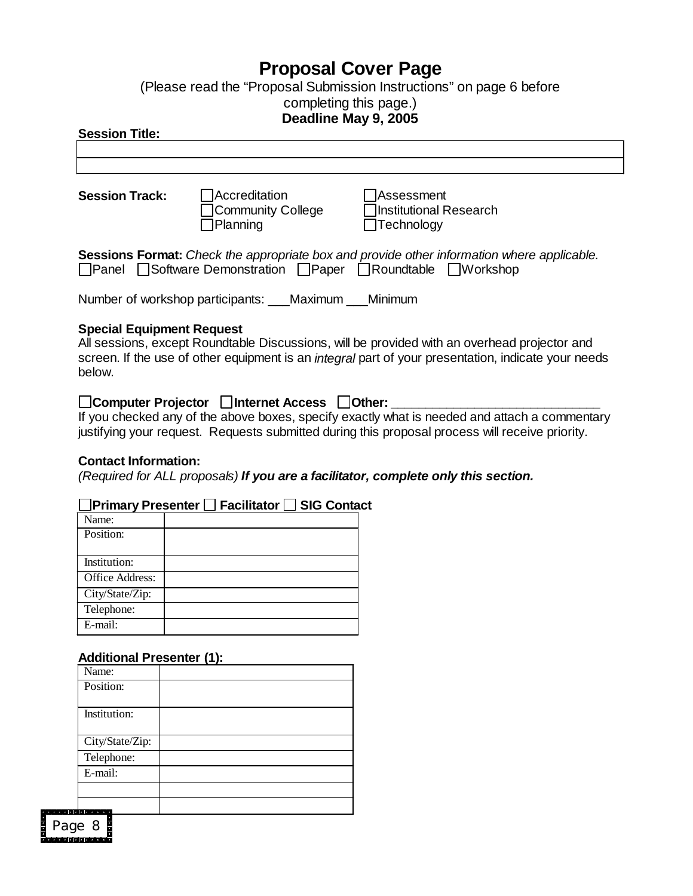## **Proposal Cover Page**

(Please read the "Proposal Submission Instructions"on page 6 before completing this page.)

#### **Deadline May 9, 2005**

#### **Session Title:**

| <b>Session Track:</b>                                                                                                                                                                                                                             | <b>IAccreditation</b><br>Community College<br>Planning | lAssessment<br>Institutional Research<br>Technology |  |
|---------------------------------------------------------------------------------------------------------------------------------------------------------------------------------------------------------------------------------------------------|--------------------------------------------------------|-----------------------------------------------------|--|
| Sessions Format: Check the appropriate box and provide other information where applicable.<br>□Panel Software Demonstration □Paper □Roundtable □Workshop                                                                                          |                                                        |                                                     |  |
| Number of workshop participants: ___Maximum Minimum                                                                                                                                                                                               |                                                        |                                                     |  |
| <b>Special Equipment Request</b><br>All sessions, except Roundtable Discussions, will be provided with an overhead projector and<br>screen. If the use of other equipment is an integral part of your presentation, indicate your needs<br>below. |                                                        |                                                     |  |

#### □Computer Projector □Internet Access □Other:

If you checked any of the above boxes, specify exactly what is needed and attach a commentary justifying your request. Requests submitted during this proposal process will receive priority.

#### **Contact Information:**

*(Required for ALL proposals) If you are a facilitator, complete only this section.*

#### **Primary Presenter Facilitator SIG Contact**

| Name:                  |  |
|------------------------|--|
| Position:              |  |
|                        |  |
| Institution:           |  |
| <b>Office Address:</b> |  |
| City/State/Zip:        |  |
| Telephone:             |  |
| $E$ -mail:             |  |

#### **Additional Presenter (1):**

| Name:           |  |
|-----------------|--|
| Position:       |  |
| Institution:    |  |
| City/State/Zip: |  |
| Telephone:      |  |
| E-mail:         |  |
|                 |  |
|                 |  |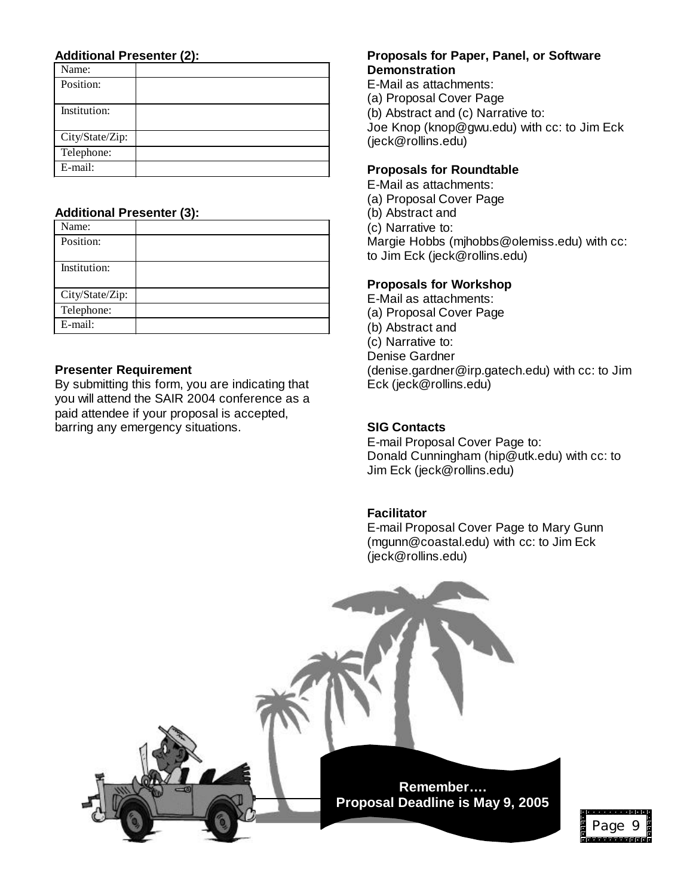#### **Additional Presenter (2):**

| Name:           |  |
|-----------------|--|
| Position:       |  |
|                 |  |
| Institution:    |  |
|                 |  |
| City/State/Zip: |  |
| Telephone:      |  |
| E-mail:         |  |

#### **Additional Presenter (3):**

| Name:           |  |
|-----------------|--|
| Position:       |  |
| Institution:    |  |
|                 |  |
| City/State/Zip: |  |
| Telephone:      |  |
| E-mail:         |  |

#### **Presenter Requirement**

By submitting this form, you are indicating that you will attend the SAIR 2004 conference as a paid attendee if your proposal is accepted, barring any emergency situations.

#### **Proposals for Paper, Panel, or Software Demonstration**

E-Mail as attachments: (a) Proposal Cover Page (b) Abstract and (c) Narrative to: Joe Knop (knop@gwu.edu) with cc: to Jim Eck (jeck@rollins.edu)

#### **Proposals for Roundtable**

E-Mail as attachments: (a) Proposal Cover Page (b) Abstract and (c) Narrative to:

Margie Hobbs (mjhobbs@olemiss.edu) with cc: to Jim Eck (jeck@rollins.edu)

#### **Proposals for Workshop**

E-Mail as attachments: (a) Proposal Cover Page (b) Abstract and (c) Narrative to: Denise Gardner (denise.gardner@irp.gatech.edu) with cc: to Jim Eck (jeck@rollins.edu)

#### **SIG Contacts**

E-mail Proposal Cover Page to: Donald Cunningham (hip@utk.edu) with cc: to Jim Eck (jeck@rollins.edu)

#### **Facilitator**

E-mail Proposal Cover Page to Mary Gunn (mgunn@coastal.edu) with cc: to Jim Eck (jeck@rollins.edu)

Page

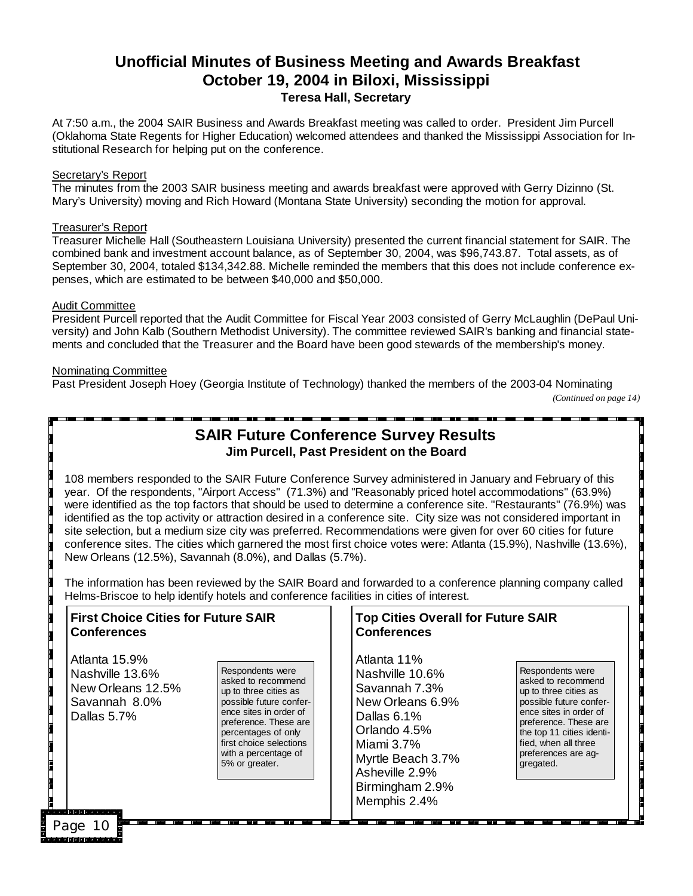#### **Unofficial Minutes of Business Meeting and Awards Breakfast October 19, 2004 in Biloxi, Mississippi Teresa Hall, Secretary**

At 7:50 a.m., the 2004 SAIR Business and Awards Breakfast meeting was called to order. President Jim Purcell (Oklahoma State Regents for Higher Education) welcomed attendees and thanked the Mississippi Association for Institutional Research for helping put on the conference.

#### Secretary's Report

The minutes from the 2003 SAIR business meeting and awards breakfast were approved with Gerry Dizinno (St. Mary's University) moving and Rich Howard (Montana State University) seconding the motion for approval.

#### Treasurer's Report

Treasurer Michelle Hall (Southeastern Louisiana University) presented the current financial statement for SAIR. The combined bank and investment account balance, as of September 30, 2004, was \$96,743.87. Total assets, as of September 30, 2004, totaled \$134,342.88. Michelle reminded the members that this does not include conference expenses, which are estimated to be between \$40,000 and \$50,000.

#### Audit Committee

President Purcell reported that the Audit Committee for Fiscal Year 2003 consisted of Gerry McLaughlin (DePaul University) and John Kalb (Southern Methodist University). The committee reviewed SAIR's banking and financial statements and concluded that the Treasurer and the Board have been good stewards of the membership's money.

#### Nominating Committee

Past President Joseph Hoey (Georgia Institute of Technology) thanked the members of the 2003-04 Nominating

*(Continued on page 14)*

#### **SAIR Future Conference Survey Results Jim Purcell, Past President on the Board**

108 members responded to the SAIR Future Conference Survey administered in January and February of this year. Of the respondents, "Airport Access" (71.3%) and "Reasonably priced hotel accommodations" (63.9%) were identified as the top factors that should be used to determine a conference site. "Restaurants" (76.9%) was identified as the top activity or attraction desired in a conference site. City size was not considered important in site selection, but a medium size city was preferred. Recommendations were given for over 60 cities for future conference sites. The cities which garnered the most first choice votes were: Atlanta (15.9%), Nashville (13.6%), New Orleans (12.5%), Savannah (8.0%), and Dallas (5.7%).

The information has been reviewed by the SAIR Board and forwarded to a conference planning company called Helms-Briscoe to help identify hotels and conference facilities in cities of interest.

| <b>First Choice Cities for Future SAIR</b><br><b>Conferences</b>                      |                                                                                                                                                                                                                                           | <b>Top Cities Overall for Future SAIR</b><br><b>Conferences</b>                                                                                                                            |                                                                                                                                                                                                                                        |
|---------------------------------------------------------------------------------------|-------------------------------------------------------------------------------------------------------------------------------------------------------------------------------------------------------------------------------------------|--------------------------------------------------------------------------------------------------------------------------------------------------------------------------------------------|----------------------------------------------------------------------------------------------------------------------------------------------------------------------------------------------------------------------------------------|
| Atlanta 15.9%<br>Nashville 13.6%<br>New Orleans 12.5%<br>Savannah 8.0%<br>Dallas 5.7% | Respondents were<br>asked to recommend<br>up to three cities as<br>possible future confer-<br>ence sites in order of<br>preference. These are<br>percentages of only<br>first choice selections<br>with a percentage of<br>5% or greater. | Atlanta 11%<br>Nashville 10.6%<br>Savannah 7.3%<br>New Orleans 6.9%<br>Dallas 6.1%<br>Orlando 4.5%<br>Miami 3.7%<br>Myrtle Beach 3.7%<br>Asheville 2.9%<br>Birmingham 2.9%<br>Memphis 2.4% | Respondents were<br>asked to recommend<br>up to three cities as<br>possible future confer-<br>ence sites in order of<br>preference. These are<br>the top 11 cities identi-<br>fied, when all three<br>preferences are aq-<br>gregated. |
| Page<br>10<br>والمتواب المالي المالي المالي                                           |                                                                                                                                                                                                                                           |                                                                                                                                                                                            |                                                                                                                                                                                                                                        |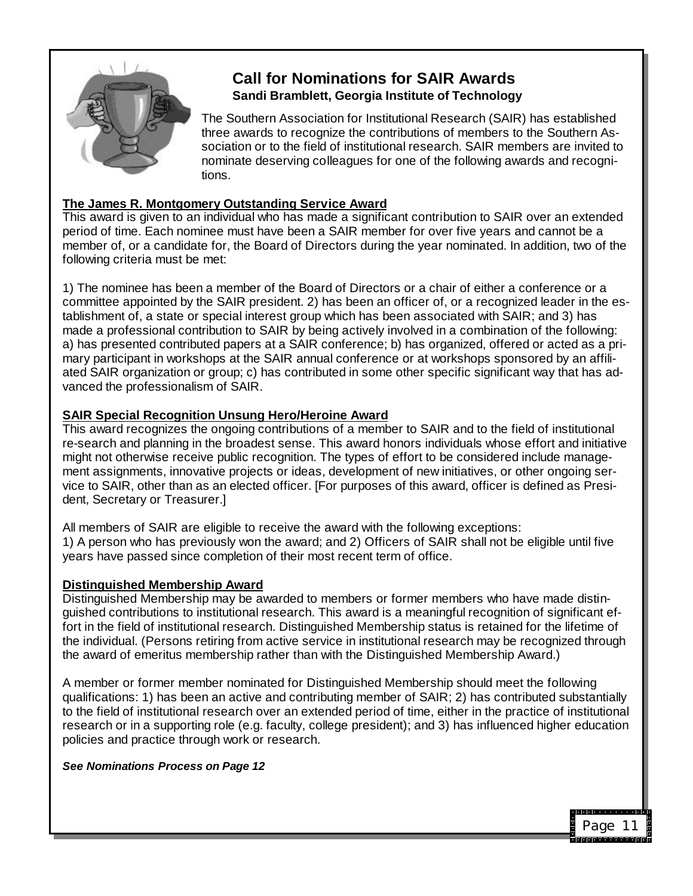

## **Call for Nominations for SAIR Awards Sandi Bramblett, Georgia Institute of Technology**

The Southern Association for Institutional Research (SAIR) has established three awards to recognize the contributions of members to the Southern Association or to the field of institutional research. SAIR members are invited to nominate deserving colleagues for one of the following awards and recognitions.

#### **The James R. Montgomery Outstanding Service Award**

This award is given to an individual who has made a significant contribution to SAIR over an extended period of time. Each nominee must have been a SAIR member for over five years and cannot be a member of, or a candidate for, the Board of Directors during the year nominated. In addition, two of the following criteria must be met:

1) The nominee has been a member of the Board of Directors or a chair of either a conference or a committee appointed by the SAIR president. 2) has been an officer of, or a recognized leader in the establishment of, a state or special interest group which has been associated with SAIR; and 3) has made a professional contribution to SAIR by being actively involved in a combination of the following: a) has presented contributed papers at a SAIR conference; b) has organized, offered or acted as a primary participant in workshops at the SAIR annual conference or at workshops sponsored by an affiliated SAIR organization or group; c) has contributed in some other specific significant way that has advanced the professionalism of SAIR.

#### **SAIR Special Recognition Unsung Hero/Heroine Award**

This award recognizes the ongoing contributions of a member to SAIR and to the field of institutional re-search and planning in the broadest sense. This award honors individuals whose effort and initiative might not otherwise receive public recognition. The types of effort to be considered include management assignments, innovative projects or ideas, development of new initiatives, or other ongoing service to SAIR, other than as an elected officer. [For purposes of this award, officer is defined as President, Secretary or Treasurer.]

All members of SAIR are eligible to receive the award with the following exceptions: 1) A person who has previously won the award; and 2) Officers of SAIR shall not be eligible until five years have passed since completion of their most recent term of office.

#### **Distinguished Membership Award**

Distinguished Membership may be awarded to members or former members who have made distinguished contributions to institutional research. This award is a meaningful recognition of significant effort in the field of institutional research. Distinguished Membership status is retained for the lifetime of the individual. (Persons retiring from active service in institutional research may be recognized through the award of emeritus membership rather than with the Distinguished Membership Award.)

A member or former member nominated for Distinguished Membership should meet the following qualifications: 1) has been an active and contributing member of SAIR; 2) has contributed substantially to the field of institutional research over an extended period of time, either in the practice of institutional research or in a supporting role (e.g. faculty, college president); and 3) has influenced higher education policies and practice through work or research.

#### *See Nominations Process on Page 12*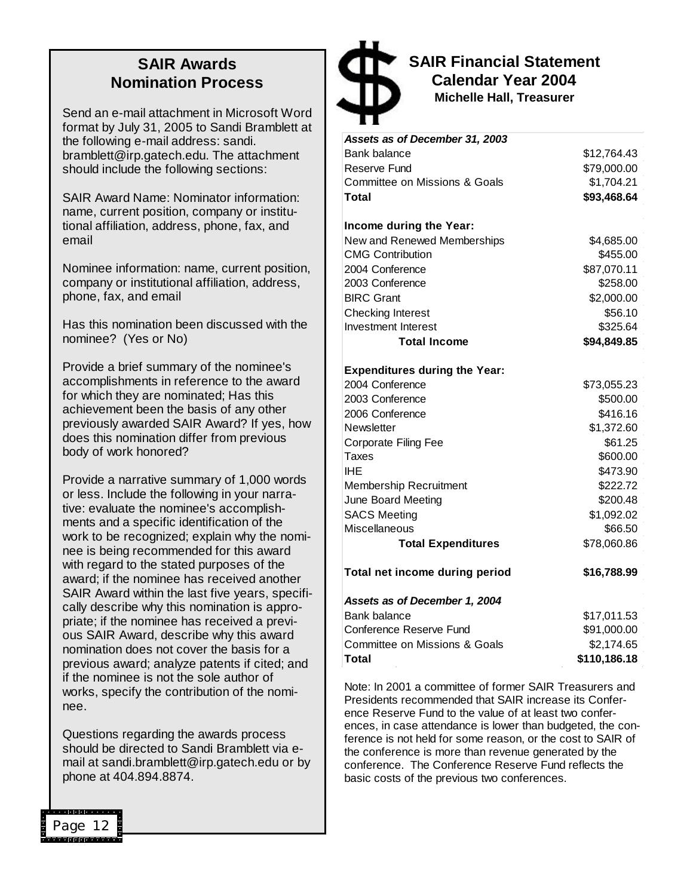### **SAIR Awards Nomination Process**

Send an e-mail attachment in Microsoft Word format by July 31, 2005 to Sandi Bramblett at the following e-mail address: sandi. bramblett@irp.gatech.edu. The attachment should include the following sections:

SAIR Award Name: Nominator information: name, current position, company or institutional affiliation, address, phone, fax, and email

Nominee information: name, current position, company or institutional affiliation, address, phone, fax, and email

Has this nomination been discussed with the nominee? (Yes or No)

Provide a brief summary of the nominee's accomplishments in reference to the award for which they are nominated; Has this achievement been the basis of any other previously awarded SAIR Award? If yes, how does this nomination differ from previous body of work honored?

Provide a narrative summary of 1,000 words or less. Include the following in your narrative: evaluate the nominee's accomplishments and a specific identification of the work to be recognized; explain why the nominee is being recommended for this award with regard to the stated purposes of the award; if the nominee has received another SAIR Award within the last five years, specifically describe why this nomination is appropriate; if the nominee has received a previous SAIR Award, describe why this award nomination does not cover the basis for a previous award; analyze patents if cited; and if the nominee is not the sole author of works, specify the contribution of the nominee.

Questions regarding the awards process should be directed to Sandi Bramblett via email at sandi.bramblett@irp.gatech.edu or by phone at 404.894.8874.



**SAIR Financial Statement Calendar Year 2004 Michelle Hall, Treasurer**

| Assets as of December 31, 2003           |              |
|------------------------------------------|--------------|
| <b>Bank balance</b>                      | \$12,764.43  |
| Reserve Fund                             | \$79,000.00  |
| Committee on Missions & Goals            | \$1,704.21   |
| Total                                    | \$93,468.64  |
| Income during the Year:                  |              |
| New and Renewed Memberships              | \$4,685.00   |
| <b>CMG Contribution</b>                  | \$455.00     |
| 2004 Conference                          | \$87,070.11  |
| 2003 Conference                          | \$258.00     |
| <b>BIRC Grant</b>                        | \$2,000.00   |
| Checking Interest                        | \$56.10      |
| <b>Investment Interest</b>               | \$325.64     |
| <b>Total Income</b>                      | \$94,849.85  |
| <b>Expenditures during the Year:</b>     |              |
| 2004 Conference                          | \$73,055.23  |
| 2003 Conference                          | \$500.00     |
| 2006 Conference                          | \$416.16     |
| Newsletter                               | \$1,372.60   |
| Corporate Filing Fee                     | \$61.25      |
| Taxes                                    | \$600.00     |
| IHE                                      | \$473.90     |
| Membership Recruitment                   | \$222.72     |
| June Board Meeting                       | \$200.48     |
| <b>SACS Meeting</b>                      | \$1,092.02   |
| Miscellaneous                            | \$66.50      |
| <b>Total Expenditures</b>                | \$78,060.86  |
| Total net income during period           | \$16,788.99  |
| Assets as of December 1, 2004            |              |
| <b>Bank balance</b>                      | \$17,011.53  |
| Conference Reserve Fund                  | \$91,000.00  |
| <b>Committee on Missions &amp; Goals</b> | \$2,174.65   |
| Total                                    | \$110,186.18 |
|                                          |              |

Note: In 2001 a committee of former SAIR Treasurers and Presidents recommended that SAIR increase its Conference Reserve Fund to the value of at least two conferences, in case attendance is lower than budgeted, the conference is not held for some reason, or the cost to SAIR of the conference is more than revenue generated by the conference. The Conference Reserve Fund reflects the basic costs of the previous two conferences.

Page 12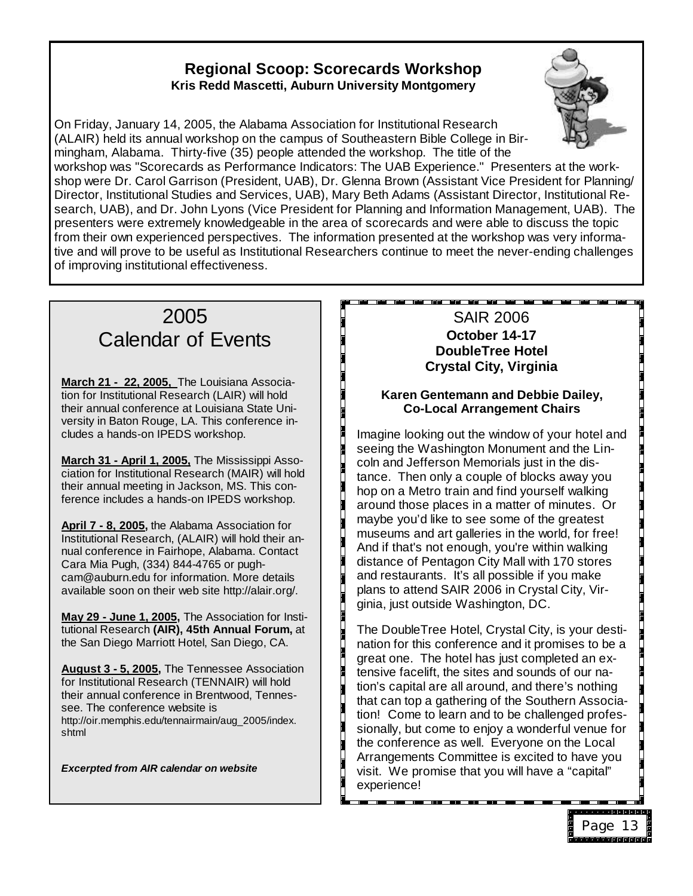#### **Regional Scoop: Scorecards Workshop Kris Redd Mascetti, Auburn University Montgomery**



On Friday, January 14, 2005, the Alabama Association for Institutional Research (ALAIR) held its annual workshop on the campus of Southeastern Bible College in Birmingham, Alabama. Thirty-five (35) people attended the workshop. The title of the

workshop was "Scorecards as Performance Indicators: The UAB Experience." Presenters at the workshop were Dr. Carol Garrison (President, UAB), Dr. Glenna Brown (Assistant Vice President for Planning/ Director, Institutional Studies and Services, UAB), Mary Beth Adams (Assistant Director, Institutional Research, UAB), and Dr. John Lyons (Vice President for Planning and Information Management, UAB). The presenters were extremely knowledgeable in the area of scorecards and were able to discuss the topic from their own experienced perspectives. The information presented at the workshop was very informative and will prove to be useful as Institutional Researchers continue to meet the never-ending challenges of improving institutional effectiveness.

## 2005 Calendar of Events

**March 21 - 22, 2005,** The Louisiana Association for Institutional Research (LAIR) will hold their annual conference at Louisiana State University in Baton Rouge, LA. This conference includes a hands-on IPEDS workshop.

**March 31 - April 1, 2005,** The Mississippi Association for Institutional Research (MAIR) will hold their annual meeting in Jackson, MS. This conference includes a hands-on IPEDS workshop.

**April 7 - 8, 2005,** the Alabama Association for Institutional Research, (ALAIR) will hold their annual conference in Fairhope, Alabama. Contact Cara Mia Pugh, (334) 844-4765 or pughcam@auburn.edu for information. More details available soon on their web site http://alair.org/.

**May 29 - June 1, 2005,** The Association for Institutional Research **(AIR), 45th Annual Forum,** at the San Diego Marriott Hotel, San Diego, CA.

**August 3 - 5, 2005,** The Tennessee Association for Institutional Research (TENNAIR) will hold their annual conference in Brentwood, Tennessee. The conference website is http://oir.memphis.edu/tennairmain/aug\_2005/index. shtml

*Excerpted from AIR calendar on website*

#### SAIR 2006 **October 14-17 DoubleTree Hotel Crystal City, Virginia**

#### **Karen Gentemann and Debbie Dailey, Co-Local Arrangement Chairs**

Imagine looking out the window of your hotel and seeing the Washington Monument and the Lincoln and Jefferson Memorials just in the distance. Then only a couple of blocks away you hop on a Metro train and find yourself walking around those places in a matter of minutes. Or maybe you'd like to see some of the greatest museums and art galleries in the world, for free! And if that's not enough, you're within walking distance of Pentagon City Mall with 170 stores and restaurants. It's all possible if you make plans to attend SAIR 2006 in Crystal City, Virginia, just outside Washington, DC.

The DoubleTree Hotel, Crystal City, is your destination for this conference and it promises to be a great one. The hotel has just completed an extensive facelift, the sites and sounds of our nation's capital are all around, and there's nothing that can top a gathering of the Southern Association! Come to learn and to be challenged professionally, but come to enjoy a wonderful venue for the conference as well. Everyone on the Local Arrangements Committee is excited to have you visit. We promise that you will have a "capital" experience!

Page 13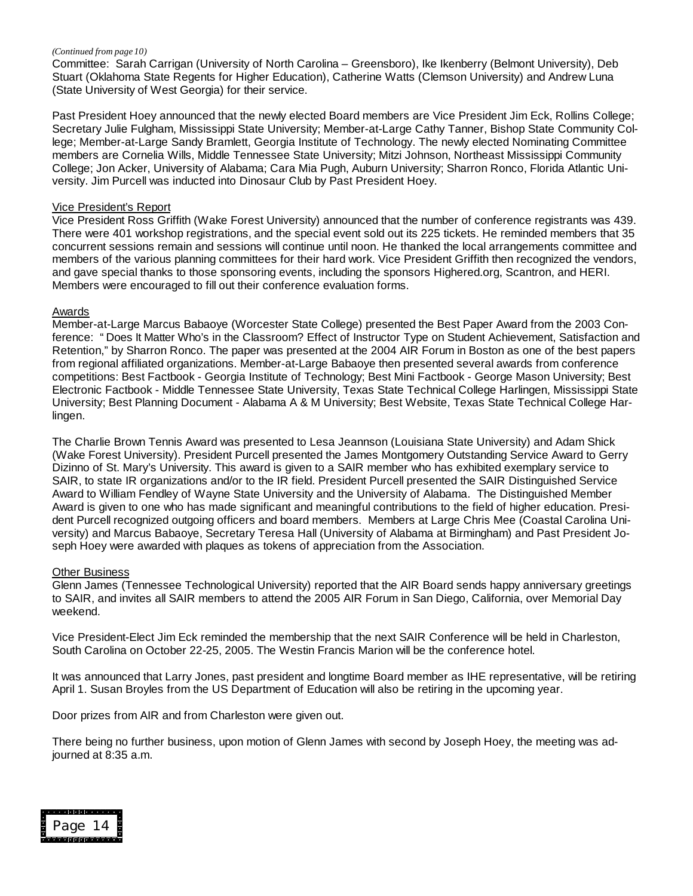#### *(Continued from page 10)*

Committee: Sarah Carrigan (University of North Carolina – Greensboro), Ike Ikenberry (Belmont University), Deb Stuart (Oklahoma State Regents for Higher Education), Catherine Watts (Clemson University) and Andrew Luna (State University of West Georgia) for their service.

Past President Hoey announced that the newly elected Board members are Vice President Jim Eck, Rollins College; Secretary Julie Fulgham, Mississippi State University; Member-at-Large Cathy Tanner, Bishop State Community College; Member-at-Large Sandy Bramlett, Georgia Institute of Technology. The newly elected Nominating Committee members are Cornelia Wills, Middle Tennessee State University; Mitzi Johnson, Northeast Mississippi Community College; Jon Acker, University of Alabama; Cara Mia Pugh, Auburn University; Sharron Ronco, Florida Atlantic University. Jim Purcell was inducted into Dinosaur Club by Past President Hoey.

#### Vice President's Report

Vice President Ross Griffith (Wake Forest University) announced that the number of conference registrants was 439. There were 401 workshop registrations, and the special event sold out its 225 tickets. He reminded members that 35 concurrent sessions remain and sessions will continue until noon. He thanked the local arrangements committee and members of the various planning committees for their hard work. Vice President Griffith then recognized the vendors, and gave special thanks to those sponsoring events, including the sponsors Highered.org, Scantron, and HERI. Members were encouraged to fill out their conference evaluation forms.

#### Awards

Member-at-Large Marcus Babaoye (Worcester State College) presented the Best Paper Award from the 2003 Conference: "Does It Matter Who's in the Classroom? Effect of Instructor Type on Student Achievement, Satisfaction and Retention," by Sharron Ronco. The paper was presented at the 2004 AIR Forum in Boston as one of the best papers from regional affiliated organizations. Member-at-Large Babaoye then presented several awards from conference competitions: Best Factbook - Georgia Institute of Technology; Best Mini Factbook - George Mason University; Best Electronic Factbook - Middle Tennessee State University, Texas State Technical College Harlingen, Mississippi State University; Best Planning Document - Alabama A & M University; Best Website, Texas State Technical College Harlingen.

The Charlie Brown Tennis Award was presented to Lesa Jeannson (Louisiana State University) and Adam Shick (Wake Forest University). President Purcell presented the James Montgomery Outstanding Service Award to Gerry Dizinno of St. Mary's University. This award is given to a SAIR member who has exhibited exemplary service to SAIR, to state IR organizations and/or to the IR field. President Purcell presented the SAIR Distinguished Service Award to William Fendley of Wayne State University and the University of Alabama. The Distinguished Member Award is given to one who has made significant and meaningful contributions to the field of higher education. President Purcell recognized outgoing officers and board members. Members at Large Chris Mee (Coastal Carolina University) and Marcus Babaoye, Secretary Teresa Hall (University of Alabama at Birmingham) and Past President Joseph Hoey were awarded with plaques as tokens of appreciation from the Association.

#### Other Business

Glenn James (Tennessee Technological University) reported that the AIR Board sends happy anniversary greetings to SAIR, and invites all SAIR members to attend the 2005 AIR Forum in San Diego, California, over Memorial Day weekend.

Vice President-Elect Jim Eck reminded the membership that the next SAIR Conference will be held in Charleston, South Carolina on October 22-25, 2005. The Westin Francis Marion will be the conference hotel.

It was announced that Larry Jones, past president and longtime Board member as IHE representative, will be retiring April 1. Susan Broyles from the US Department of Education will also be retiring in the upcoming year.

Door prizes from AIR and from Charleston were given out.

There being no further business, upon motion of Glenn James with second by Joseph Hoey, the meeting was adjourned at 8:35 a.m.

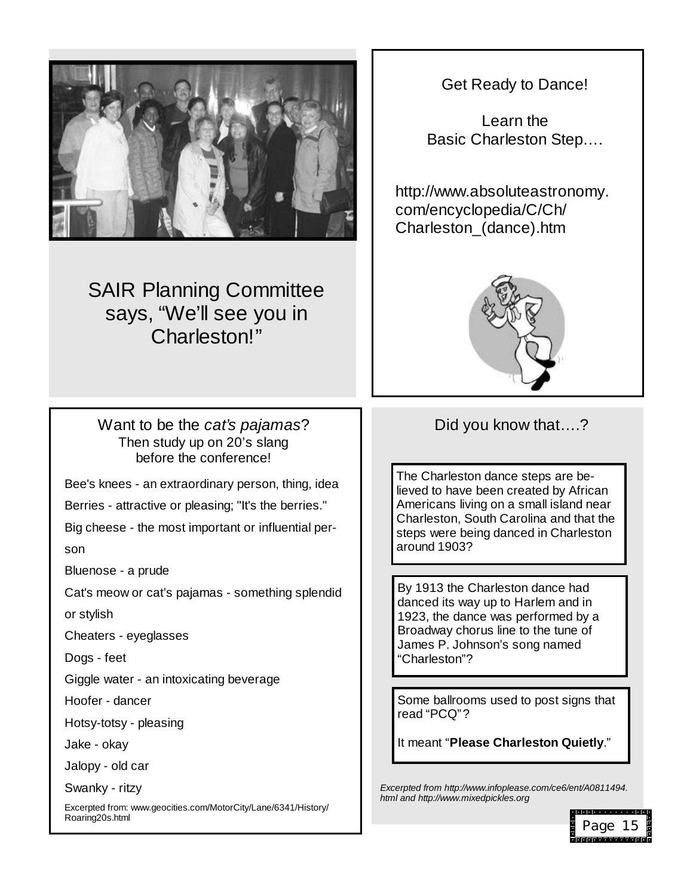

# SAIR Planning Committee says, "We'll see you in Charleston!"

Want to be the *cat's pajamas*? Then study up on 20's slang before the conference!

Bee's knees - an extraordinary person, thing, idea

Berries - attractive or pleasing; "It's the berries."

Big cheese - the most important or influential per-

son

Bluenose - a prude

Cat's meow or cat's pajamas - something splendid

or stylish

Cheaters - eyeglasses

Dogs - feet

Giggle water - an intoxicating beverage

Hoofer - dancer

Hotsy-totsy - pleasing

Jake - okay

Jalopy - old car

Swanky - ritzy

Excerpted from: www.geocities.com/MotorCity/Lane/6341/History/ Roaring20s.html

Get Ready to Dance!

Learn the Basic Charleston Step… .

http://www.absoluteastronomy. com/encyclopedia/C/Ch/ Charleston\_(dance).htm



## Did you know that....?

The Charleston dance steps are believed to have been created by African Americans living on a small island near Charleston, South Carolina and that the steps were being danced in Charleston around 1903?

By 1913 the Charleston dance had danced its way up to Harlem and in 1923, the dance was performed by a Broadway chorus line to the tune of James P. Johnson's song named "Charleston"?

Some ballrooms used to post signs that read "PCQ"?

It meant "**Please Charleston Quietly**."

*Excerpted from http://www.infoplease.com/ce6/ent/A0811494. html and http://www.mixedpickles.org*